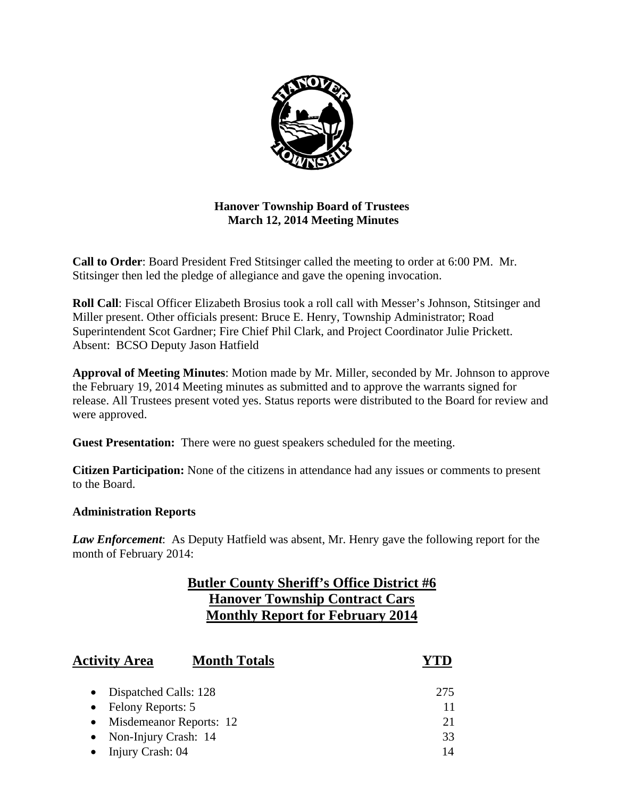

## **Hanover Township Board of Trustees March 12, 2014 Meeting Minutes**

**Call to Order**: Board President Fred Stitsinger called the meeting to order at 6:00 PM. Mr. Stitsinger then led the pledge of allegiance and gave the opening invocation.

**Roll Call**: Fiscal Officer Elizabeth Brosius took a roll call with Messer's Johnson, Stitsinger and Miller present. Other officials present: Bruce E. Henry, Township Administrator; Road Superintendent Scot Gardner; Fire Chief Phil Clark, and Project Coordinator Julie Prickett. Absent: BCSO Deputy Jason Hatfield

**Approval of Meeting Minutes**: Motion made by Mr. Miller, seconded by Mr. Johnson to approve the February 19, 2014 Meeting minutes as submitted and to approve the warrants signed for release. All Trustees present voted yes. Status reports were distributed to the Board for review and were approved.

**Guest Presentation:** There were no guest speakers scheduled for the meeting.

**Citizen Participation:** None of the citizens in attendance had any issues or comments to present to the Board.

## **Administration Reports**

*Law Enforcement*: As Deputy Hatfield was absent, Mr. Henry gave the following report for the month of February 2014:

## **Butler County Sheriff's Office District #6 Hanover Township Contract Cars Monthly Report for February 2014**

| <b>Activity Area</b>        | <b>Month Totals</b> |     |
|-----------------------------|---------------------|-----|
| • Dispatched Calls: 128     |                     | 275 |
| $\bullet$ Felony Reports: 5 |                     |     |
| • Misdemeanor Reports: 12   |                     | 21  |
| • Non-Injury Crash: $14$    |                     | 33  |
| Injury Crash: 04            |                     | 14  |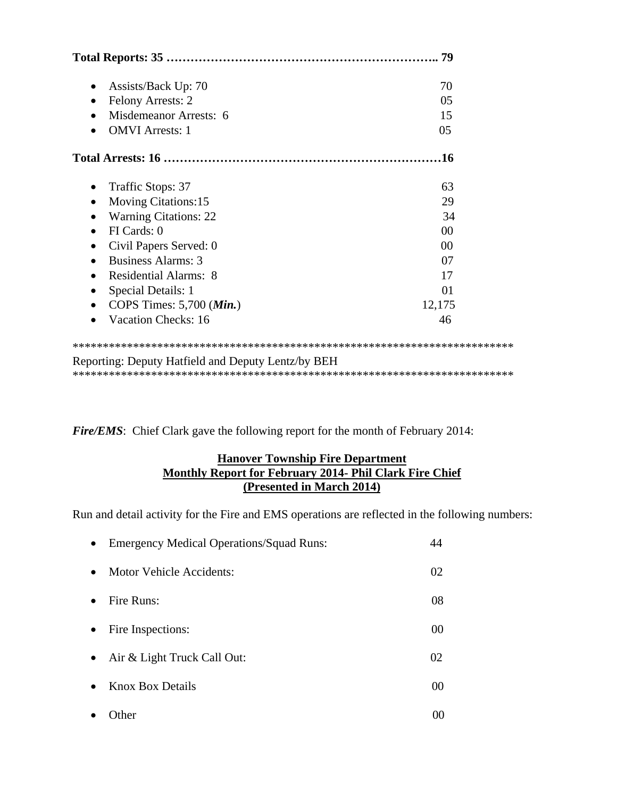| 79                                                 |        |  |
|----------------------------------------------------|--------|--|
| Assists/Back Up: 70                                | 70     |  |
| Felony Arrests: 2                                  | 05     |  |
| Misdemeanor Arrests: 6                             | 15     |  |
| <b>OMVI</b> Arrests: 1                             | 05     |  |
|                                                    |        |  |
| Traffic Stops: 37                                  | 63     |  |
| <b>Moving Citations:15</b>                         | 29     |  |
| <b>Warning Citations: 22</b>                       | 34     |  |
| FI Cards: 0                                        | 00     |  |
| Civil Papers Served: 0                             | 00     |  |
| <b>Business Alarms: 3</b>                          | 07     |  |
| <b>Residential Alarms: 8</b>                       | 17     |  |
| Special Details: 1                                 | 01     |  |
| COPS Times: $5,700$ ( <i>Min.</i> )                | 12,175 |  |
| <b>Vacation Checks: 16</b>                         | 46     |  |
|                                                    |        |  |
| Reporting: Deputy Hatfield and Deputy Lentz/by BEH |        |  |

*Fire/EMS*: Chief Clark gave the following report for the month of February 2014:

## **Hanover Township Fire Department Monthly Report for February 2014- Phil Clark Fire Chief (Presented in March 2014)**

Run and detail activity for the Fire and EMS operations are reflected in the following numbers:

| $\bullet$ | <b>Emergency Medical Operations/Squad Runs:</b> | 44     |
|-----------|-------------------------------------------------|--------|
| $\bullet$ | <b>Motor Vehicle Accidents:</b>                 | 02     |
|           | Fire Runs:                                      | 08     |
| $\bullet$ | Fire Inspections:                               | 00     |
| $\bullet$ | Air & Light Truck Call Out:                     | 02     |
|           | <b>Knox Box Details</b>                         | 00     |
|           | )ther                                           | ( )( ) |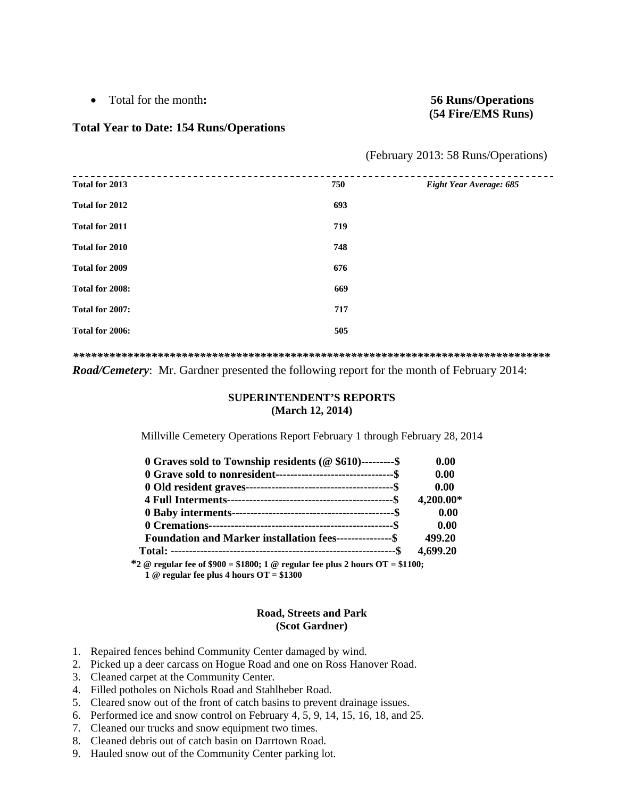Total for the month**: 56 Runs/Operations** 

#### **Total Year to Date: 154 Runs/Operations**

# **(54 Fire/EMS Runs)**

(February 2013: 58 Runs/Operations)

| Total for 2013  | 750 | Eight Year Average: 685 |
|-----------------|-----|-------------------------|
| Total for 2012  | 693 |                         |
| Total for 2011  | 719 |                         |
| Total for 2010  | 748 |                         |
| Total for 2009  | 676 |                         |
| Total for 2008: | 669 |                         |
| Total for 2007: | 717 |                         |
| Total for 2006: | 505 |                         |
|                 |     |                         |

*Road/Cemetery*: Mr. Gardner presented the following report for the month of February 2014:

#### **SUPERINTENDENT'S REPORTS (March 12, 2014)**

Millville Cemetery Operations Report February 1 through February 28, 2014

| 0 Graves sold to Township residents (@ \$610)---------\$                                                  | 0.00      |
|-----------------------------------------------------------------------------------------------------------|-----------|
|                                                                                                           | 0.00      |
|                                                                                                           | 0.00      |
|                                                                                                           | 4,200.00* |
|                                                                                                           | 0.00      |
|                                                                                                           | 0.00      |
| <b>Foundation and Marker installation fees----------------\$</b>                                          | 499.20    |
|                                                                                                           | 4,699.20  |
| $*2\otimes$ requier for of \$000 – \$1800, 1 $\otimes$ requier for plus 2 hours $\overline{OT}$ – \$1100. |           |

 **\*2 @ regular fee of \$900 = \$1800; 1 @ regular fee plus 2 hours OT = \$1100; 1 @ regular fee plus 4 hours OT = \$1300** 

#### **Road, Streets and Park (Scot Gardner)**

- 1. Repaired fences behind Community Center damaged by wind.
- 2. Picked up a deer carcass on Hogue Road and one on Ross Hanover Road.
- 3. Cleaned carpet at the Community Center.
- 4. Filled potholes on Nichols Road and Stahlheber Road.
- 5. Cleared snow out of the front of catch basins to prevent drainage issues.
- 6. Performed ice and snow control on February 4, 5, 9, 14, 15, 16, 18, and 25.
- 7. Cleaned our trucks and snow equipment two times.
- 8. Cleaned debris out of catch basin on Darrtown Road.
- 9. Hauled snow out of the Community Center parking lot.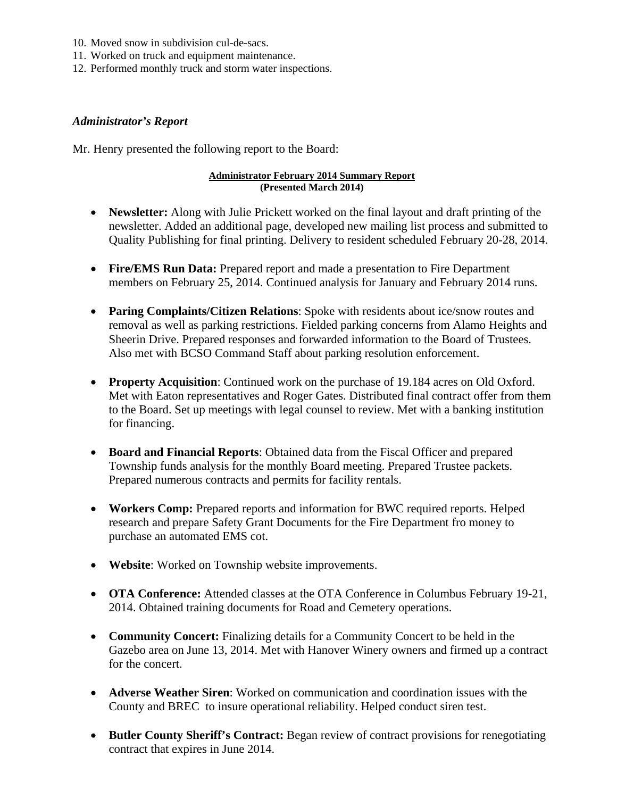- 10. Moved snow in subdivision cul-de-sacs.
- 11. Worked on truck and equipment maintenance.
- 12. Performed monthly truck and storm water inspections.

#### *Administrator's Report*

Mr. Henry presented the following report to the Board:

#### **Administrator February 2014 Summary Report (Presented March 2014)**

- **Newsletter:** Along with Julie Prickett worked on the final layout and draft printing of the newsletter. Added an additional page, developed new mailing list process and submitted to Quality Publishing for final printing. Delivery to resident scheduled February 20-28, 2014.
- **Fire/EMS Run Data:** Prepared report and made a presentation to Fire Department members on February 25, 2014. Continued analysis for January and February 2014 runs.
- **Paring Complaints/Citizen Relations**: Spoke with residents about ice/snow routes and removal as well as parking restrictions. Fielded parking concerns from Alamo Heights and Sheerin Drive. Prepared responses and forwarded information to the Board of Trustees. Also met with BCSO Command Staff about parking resolution enforcement.
- **Property Acquisition**: Continued work on the purchase of 19.184 acres on Old Oxford. Met with Eaton representatives and Roger Gates. Distributed final contract offer from them to the Board. Set up meetings with legal counsel to review. Met with a banking institution for financing.
- **Board and Financial Reports**: Obtained data from the Fiscal Officer and prepared Township funds analysis for the monthly Board meeting. Prepared Trustee packets. Prepared numerous contracts and permits for facility rentals.
- **Workers Comp:** Prepared reports and information for BWC required reports. Helped research and prepare Safety Grant Documents for the Fire Department fro money to purchase an automated EMS cot.
- **Website**: Worked on Township website improvements.
- **OTA Conference:** Attended classes at the OTA Conference in Columbus February 19-21, 2014. Obtained training documents for Road and Cemetery operations.
- **Community Concert:** Finalizing details for a Community Concert to be held in the Gazebo area on June 13, 2014. Met with Hanover Winery owners and firmed up a contract for the concert.
- **Adverse Weather Siren**: Worked on communication and coordination issues with the County and BREC to insure operational reliability. Helped conduct siren test.
- Butler County Sheriff's Contract: Began review of contract provisions for renegotiating contract that expires in June 2014.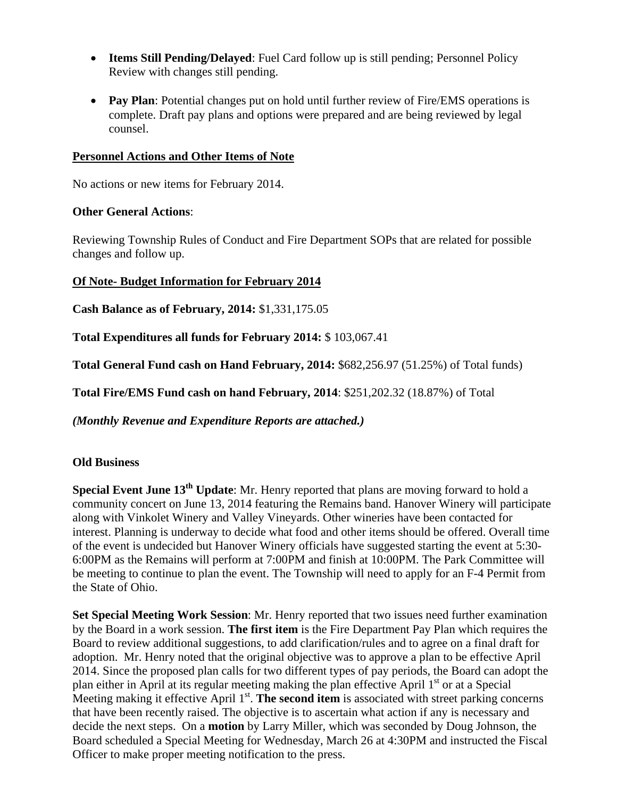- **Items Still Pending/Delayed**: Fuel Card follow up is still pending; Personnel Policy Review with changes still pending.
- Pay Plan: Potential changes put on hold until further review of Fire/EMS operations is complete. Draft pay plans and options were prepared and are being reviewed by legal counsel.

#### **Personnel Actions and Other Items of Note**

No actions or new items for February 2014.

#### **Other General Actions**:

Reviewing Township Rules of Conduct and Fire Department SOPs that are related for possible changes and follow up.

#### **Of Note- Budget Information for February 2014**

**Cash Balance as of February, 2014:** \$1,331,175.05

**Total Expenditures all funds for February 2014:** \$ 103,067.41

**Total General Fund cash on Hand February, 2014:** \$682,256.97 (51.25%) of Total funds)

**Total Fire/EMS Fund cash on hand February, 2014**: \$251,202.32 (18.87%) of Total

*(Monthly Revenue and Expenditure Reports are attached.)* 

#### **Old Business**

**Special Event June 13th Update**: Mr. Henry reported that plans are moving forward to hold a community concert on June 13, 2014 featuring the Remains band. Hanover Winery will participate along with Vinkolet Winery and Valley Vineyards. Other wineries have been contacted for interest. Planning is underway to decide what food and other items should be offered. Overall time of the event is undecided but Hanover Winery officials have suggested starting the event at 5:30- 6:00PM as the Remains will perform at 7:00PM and finish at 10:00PM. The Park Committee will be meeting to continue to plan the event. The Township will need to apply for an F-4 Permit from the State of Ohio.

**Set Special Meeting Work Session**: Mr. Henry reported that two issues need further examination by the Board in a work session. **The first item** is the Fire Department Pay Plan which requires the Board to review additional suggestions, to add clarification/rules and to agree on a final draft for adoption. Mr. Henry noted that the original objective was to approve a plan to be effective April 2014. Since the proposed plan calls for two different types of pay periods, the Board can adopt the plan either in April at its regular meeting making the plan effective April  $1<sup>st</sup>$  or at a Special Meeting making it effective April 1<sup>st</sup>. The second item is associated with street parking concerns that have been recently raised. The objective is to ascertain what action if any is necessary and decide the next steps. On a **motion** by Larry Miller, which was seconded by Doug Johnson, the Board scheduled a Special Meeting for Wednesday, March 26 at 4:30PM and instructed the Fiscal Officer to make proper meeting notification to the press.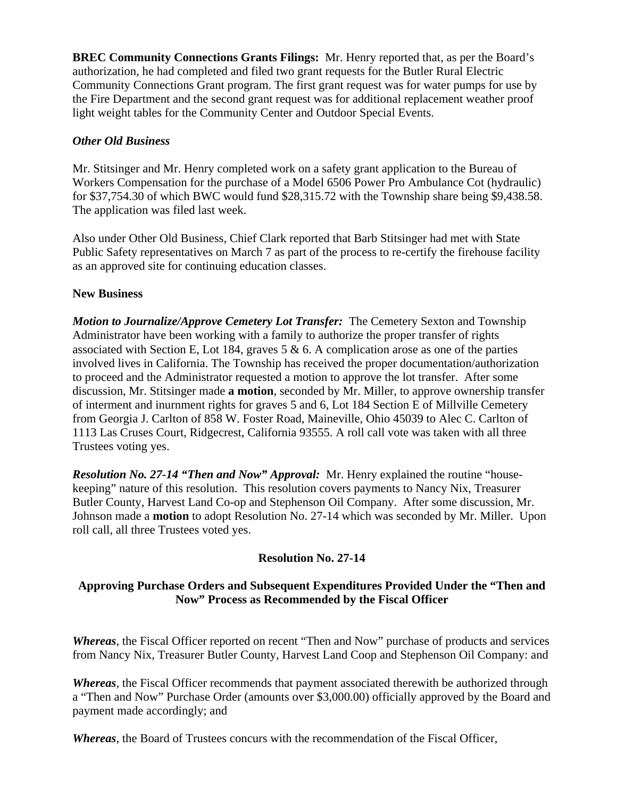**BREC Community Connections Grants Filings:** Mr. Henry reported that, as per the Board's authorization, he had completed and filed two grant requests for the Butler Rural Electric Community Connections Grant program. The first grant request was for water pumps for use by the Fire Department and the second grant request was for additional replacement weather proof light weight tables for the Community Center and Outdoor Special Events.

#### *Other Old Business*

Mr. Stitsinger and Mr. Henry completed work on a safety grant application to the Bureau of Workers Compensation for the purchase of a Model 6506 Power Pro Ambulance Cot (hydraulic) for \$37,754.30 of which BWC would fund \$28,315.72 with the Township share being \$9,438.58. The application was filed last week.

Also under Other Old Business, Chief Clark reported that Barb Stitsinger had met with State Public Safety representatives on March 7 as part of the process to re-certify the firehouse facility as an approved site for continuing education classes.

#### **New Business**

*Motion to Journalize/Approve Cemetery Lot Transfer:* The Cemetery Sexton and Township Administrator have been working with a family to authorize the proper transfer of rights associated with Section E, Lot 184, graves  $5 \& 6$ . A complication arose as one of the parties involved lives in California. The Township has received the proper documentation/authorization to proceed and the Administrator requested a motion to approve the lot transfer. After some discussion, Mr. Stitsinger made **a motion**, seconded by Mr. Miller, to approve ownership transfer of interment and inurnment rights for graves 5 and 6, Lot 184 Section E of Millville Cemetery from Georgia J. Carlton of 858 W. Foster Road, Maineville, Ohio 45039 to Alec C. Carlton of 1113 Las Cruses Court, Ridgecrest, California 93555. A roll call vote was taken with all three Trustees voting yes.

*Resolution No. 27-14 "Then and Now" Approval:* Mr. Henry explained the routine "housekeeping" nature of this resolution. This resolution covers payments to Nancy Nix, Treasurer Butler County, Harvest Land Co-op and Stephenson Oil Company. After some discussion, Mr. Johnson made a **motion** to adopt Resolution No. 27-14 which was seconded by Mr. Miller. Upon roll call, all three Trustees voted yes.

## **Resolution No. 27-14**

## **Approving Purchase Orders and Subsequent Expenditures Provided Under the "Then and Now" Process as Recommended by the Fiscal Officer**

*Whereas*, the Fiscal Officer reported on recent "Then and Now" purchase of products and services from Nancy Nix, Treasurer Butler County, Harvest Land Coop and Stephenson Oil Company: and

*Whereas*, the Fiscal Officer recommends that payment associated therewith be authorized through a "Then and Now" Purchase Order (amounts over \$3,000.00) officially approved by the Board and payment made accordingly; and

*Whereas*, the Board of Trustees concurs with the recommendation of the Fiscal Officer,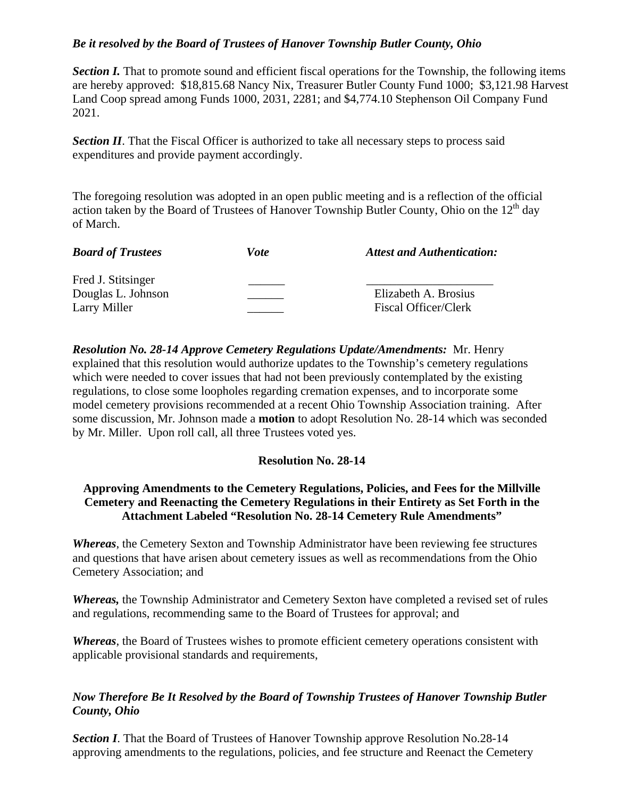#### *Be it resolved by the Board of Trustees of Hanover Township Butler County, Ohio*

**Section I.** That to promote sound and efficient fiscal operations for the Township, the following items are hereby approved: \$18,815.68 Nancy Nix, Treasurer Butler County Fund 1000; \$3,121.98 Harvest Land Coop spread among Funds 1000, 2031, 2281; and \$4,774.10 Stephenson Oil Company Fund 2021.

**Section II**. That the Fiscal Officer is authorized to take all necessary steps to process said expenditures and provide payment accordingly.

The foregoing resolution was adopted in an open public meeting and is a reflection of the official action taken by the Board of Trustees of Hanover Township Butler County, Ohio on the  $12<sup>th</sup>$  day of March.

| <b>Board of Trustees</b>           | Vote | <b>Attest and Authentication:</b>            |
|------------------------------------|------|----------------------------------------------|
| Fred J. Stitsinger                 |      |                                              |
| Douglas L. Johnson<br>Larry Miller |      | Elizabeth A. Brosius<br>Fiscal Officer/Clerk |
|                                    |      |                                              |

*Resolution No. 28-14 Approve Cemetery Regulations Update/Amendments:* Mr. Henry explained that this resolution would authorize updates to the Township's cemetery regulations which were needed to cover issues that had not been previously contemplated by the existing regulations, to close some loopholes regarding cremation expenses, and to incorporate some model cemetery provisions recommended at a recent Ohio Township Association training. After some discussion, Mr. Johnson made a **motion** to adopt Resolution No. 28-14 which was seconded by Mr. Miller. Upon roll call, all three Trustees voted yes.

#### **Resolution No. 28-14**

#### **Approving Amendments to the Cemetery Regulations, Policies, and Fees for the Millville Cemetery and Reenacting the Cemetery Regulations in their Entirety as Set Forth in the Attachment Labeled "Resolution No. 28-14 Cemetery Rule Amendments"**

*Whereas*, the Cemetery Sexton and Township Administrator have been reviewing fee structures and questions that have arisen about cemetery issues as well as recommendations from the Ohio Cemetery Association; and

*Whereas,* the Township Administrator and Cemetery Sexton have completed a revised set of rules and regulations, recommending same to the Board of Trustees for approval; and

*Whereas*, the Board of Trustees wishes to promote efficient cemetery operations consistent with applicable provisional standards and requirements,

#### *Now Therefore Be It Resolved by the Board of Township Trustees of Hanover Township Butler County, Ohio*

*Section I*. That the Board of Trustees of Hanover Township approve Resolution No.28-14 approving amendments to the regulations, policies, and fee structure and Reenact the Cemetery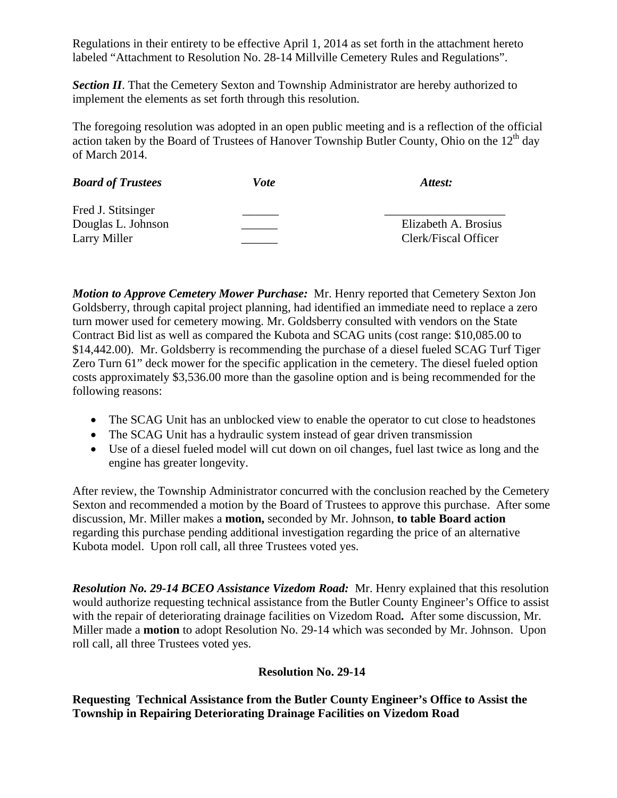Regulations in their entirety to be effective April 1, 2014 as set forth in the attachment hereto labeled "Attachment to Resolution No. 28-14 Millville Cemetery Rules and Regulations".

**Section II**. That the Cemetery Sexton and Township Administrator are hereby authorized to implement the elements as set forth through this resolution.

The foregoing resolution was adopted in an open public meeting and is a reflection of the official action taken by the Board of Trustees of Hanover Township Butler County, Ohio on the  $12<sup>th</sup>$  day of March 2014.

| <b>Board of Trustees</b> | <i>Vote</i> | Attest:              |
|--------------------------|-------------|----------------------|
| Fred J. Stitsinger       |             |                      |
| Douglas L. Johnson       |             | Elizabeth A. Brosius |
| Larry Miller             |             | Clerk/Fiscal Officer |

*Motion to Approve Cemetery Mower Purchase:* Mr. Henry reported that Cemetery Sexton Jon Goldsberry, through capital project planning, had identified an immediate need to replace a zero turn mower used for cemetery mowing. Mr. Goldsberry consulted with vendors on the State Contract Bid list as well as compared the Kubota and SCAG units (cost range: \$10,085.00 to \$14,442.00). Mr. Goldsberry is recommending the purchase of a diesel fueled SCAG Turf Tiger Zero Turn 61" deck mower for the specific application in the cemetery. The diesel fueled option costs approximately \$3,536.00 more than the gasoline option and is being recommended for the following reasons:

- The SCAG Unit has an unblocked view to enable the operator to cut close to headstones
- The SCAG Unit has a hydraulic system instead of gear driven transmission
- Use of a diesel fueled model will cut down on oil changes, fuel last twice as long and the engine has greater longevity.

After review, the Township Administrator concurred with the conclusion reached by the Cemetery Sexton and recommended a motion by the Board of Trustees to approve this purchase. After some discussion, Mr. Miller makes a **motion,** seconded by Mr. Johnson, **to table Board action** regarding this purchase pending additional investigation regarding the price of an alternative Kubota model. Upon roll call, all three Trustees voted yes.

*Resolution No. 29-14 BCEO Assistance Vizedom Road:* Mr. Henry explained that this resolution would authorize requesting technical assistance from the Butler County Engineer's Office to assist with the repair of deteriorating drainage facilities on Vizedom Road**.** After some discussion, Mr. Miller made a **motion** to adopt Resolution No. 29-14 which was seconded by Mr. Johnson. Upon roll call, all three Trustees voted yes.

## **Resolution No. 29-14**

**Requesting Technical Assistance from the Butler County Engineer's Office to Assist the Township in Repairing Deteriorating Drainage Facilities on Vizedom Road**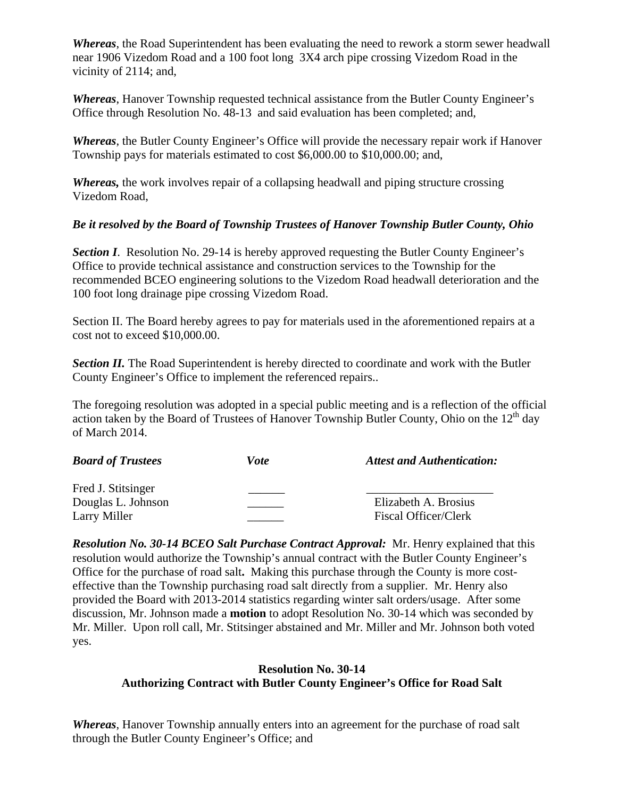*Whereas*, the Road Superintendent has been evaluating the need to rework a storm sewer headwall near 1906 Vizedom Road and a 100 foot long 3X4 arch pipe crossing Vizedom Road in the vicinity of 2114; and,

*Whereas*, Hanover Township requested technical assistance from the Butler County Engineer's Office through Resolution No. 48-13 and said evaluation has been completed; and,

*Whereas*, the Butler County Engineer's Office will provide the necessary repair work if Hanover Township pays for materials estimated to cost \$6,000.00 to \$10,000.00; and,

*Whereas,* the work involves repair of a collapsing headwall and piping structure crossing Vizedom Road,

## *Be it resolved by the Board of Township Trustees of Hanover Township Butler County, Ohio*

**Section I**. Resolution No. 29-14 is hereby approved requesting the Butler County Engineer's Office to provide technical assistance and construction services to the Township for the recommended BCEO engineering solutions to the Vizedom Road headwall deterioration and the 100 foot long drainage pipe crossing Vizedom Road.

Section II. The Board hereby agrees to pay for materials used in the aforementioned repairs at a cost not to exceed \$10,000.00.

**Section II.** The Road Superintendent is hereby directed to coordinate and work with the Butler County Engineer's Office to implement the referenced repairs..

The foregoing resolution was adopted in a special public meeting and is a reflection of the official action taken by the Board of Trustees of Hanover Township Butler County, Ohio on the  $12<sup>th</sup>$  day of March 2014.

| <b>Board of Trustees</b> | Vote | <b>Attest and Authentication:</b> |
|--------------------------|------|-----------------------------------|
| Fred J. Stitsinger       |      |                                   |
| Douglas L. Johnson       |      | Elizabeth A. Brosius              |
| Larry Miller             |      | Fiscal Officer/Clerk              |

*Resolution No. 30-14 BCEO Salt Purchase Contract Approval:* Mr. Henry explained that this resolution would authorize the Township's annual contract with the Butler County Engineer's Office for the purchase of road salt**.** Making this purchase through the County is more costeffective than the Township purchasing road salt directly from a supplier.Mr. Henry also provided the Board with 2013-2014 statistics regarding winter salt orders/usage.After some discussion, Mr. Johnson made a **motion** to adopt Resolution No. 30-14 which was seconded by Mr. Miller. Upon roll call, Mr. Stitsinger abstained and Mr. Miller and Mr. Johnson both voted yes.

#### **Resolution No. 30-14 Authorizing Contract with Butler County Engineer's Office for Road Salt**

*Whereas*, Hanover Township annually enters into an agreement for the purchase of road salt through the Butler County Engineer's Office; and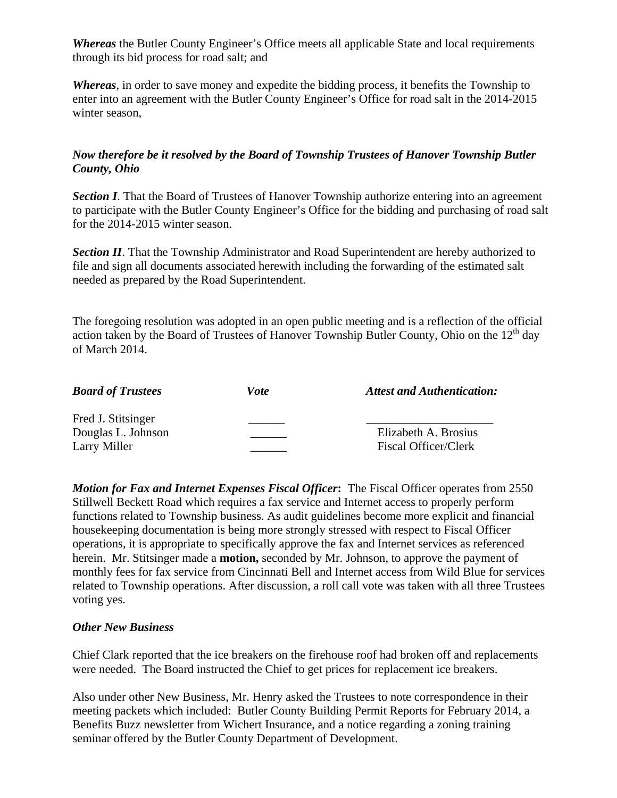*Whereas* the Butler County Engineer's Office meets all applicable State and local requirements through its bid process for road salt; and

*Whereas*, in order to save money and expedite the bidding process, it benefits the Township to enter into an agreement with the Butler County Engineer's Office for road salt in the 2014-2015 winter season,

## *Now therefore be it resolved by the Board of Township Trustees of Hanover Township Butler County, Ohio*

**Section I**. That the Board of Trustees of Hanover Township authorize entering into an agreement to participate with the Butler County Engineer's Office for the bidding and purchasing of road salt for the 2014-2015 winter season.

**Section II**. That the Township Administrator and Road Superintendent are hereby authorized to file and sign all documents associated herewith including the forwarding of the estimated salt needed as prepared by the Road Superintendent.

The foregoing resolution was adopted in an open public meeting and is a reflection of the official action taken by the Board of Trustees of Hanover Township Butler County, Ohio on the  $12<sup>th</sup>$  day of March 2014.

| <b>Board of Trustees</b>                 | Vote | <b>Attest and Authentication:</b> |
|------------------------------------------|------|-----------------------------------|
| Fred J. Stitsinger<br>Douglas L. Johnson |      | Elizabeth A. Brosius              |
| Larry Miller                             |      | Fiscal Officer/Clerk              |

*Motion for Fax and Internet Expenses Fiscal Officer***:** The Fiscal Officer operates from 2550 Stillwell Beckett Road which requires a fax service and Internet access to properly perform functions related to Township business. As audit guidelines become more explicit and financial housekeeping documentation is being more strongly stressed with respect to Fiscal Officer operations, it is appropriate to specifically approve the fax and Internet services as referenced herein. Mr. Stitsinger made a **motion,** seconded by Mr. Johnson, to approve the payment of monthly fees for fax service from Cincinnati Bell and Internet access from Wild Blue for services related to Township operations. After discussion, a roll call vote was taken with all three Trustees voting yes.

## *Other New Business*

Chief Clark reported that the ice breakers on the firehouse roof had broken off and replacements were needed. The Board instructed the Chief to get prices for replacement ice breakers.

Also under other New Business, Mr. Henry asked the Trustees to note correspondence in their meeting packets which included: Butler County Building Permit Reports for February 2014, a Benefits Buzz newsletter from Wichert Insurance, and a notice regarding a zoning training seminar offered by the Butler County Department of Development.